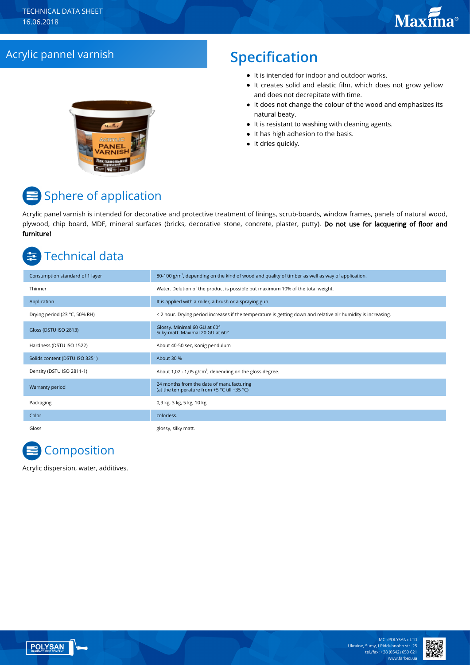## Acrylic pannel varnish **Specification**

- It is intended for indoor and outdoor works.
- It creates solid and elastic film, which does not grow yellow and does not decrepitate with time.
- It does not change the colour of the wood and emphasizes its natural beaty.
- $\bullet$  It is resistant to washing with cleaning agents.
- It has high adhesion to the basis.
- It dries quickly.

# Sphere of application

Acrylic panel varnish is intended for decorative and protective treatment of linings, scrub-boards, window frames, panels of natural wood, plywood, chip board, MDF, mineral surfaces (bricks, decorative stone, concrete, plaster, putty). Do not use for lacquering of floor and furniture!

## Technical data

| Consumption standard of 1 layer | 80-100 $g/m2$ , depending on the kind of wood and quality of timber as well as way of application.            |
|---------------------------------|---------------------------------------------------------------------------------------------------------------|
| Thinner                         | Water. Delution of the product is possible but maximum 10% of the total weight.                               |
| Application                     | It is applied with a roller, a brush or a spraying gun.                                                       |
| Drying period (23 °C, 50% RH)   | < 2 hour. Drying period increases if the temperature is getting down and relative air humidity is increasing. |
| Gloss (DSTU ISO 2813)           | Glossy. Minimal 60 GU at 60°<br>Silky-matt. Maximal 20 GU at 60°                                              |
| Hardness (DSTU ISO 1522)        | About 40-50 sec, Konig pendulum                                                                               |
| Solids content (DSTU ISO 3251)  | About 30 %                                                                                                    |
| Density (DSTU ISO 2811-1)       | About 1,02 - 1,05 $g/cm3$ , depending on the gloss degree.                                                    |
| Warranty period                 | 24 months from the date of manufacturing<br>(at the temperature from +5 °C till +35 °C)                       |
| Packaging                       | 0,9 kg, 3 kg, 5 kg, 10 kg                                                                                     |
| Color                           | colorless.                                                                                                    |
| Gloss                           | glossy, silky matt.                                                                                           |

# **Composition**

Acrylic dispersion, water, additives.